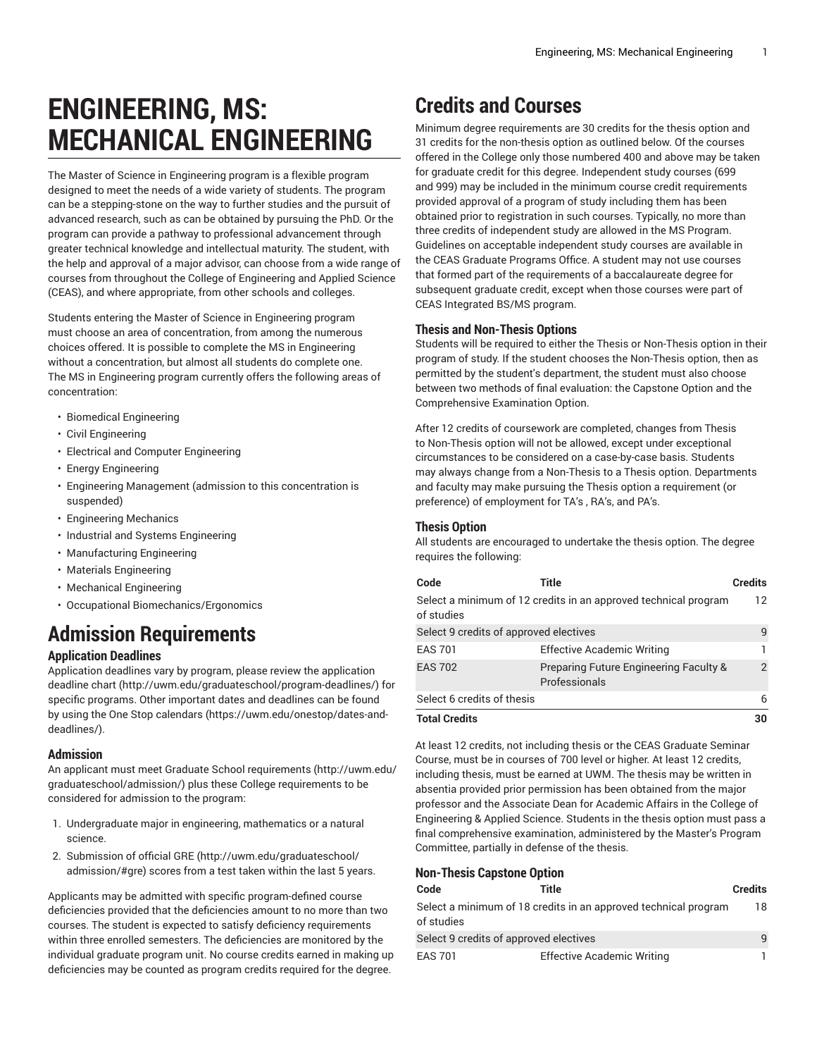# **ENGINEERING, MS: MECHANICAL ENGINEERING**

The Master of Science in Engineering program is a flexible program designed to meet the needs of a wide variety of students. The program can be a stepping-stone on the way to further studies and the pursuit of advanced research, such as can be obtained by pursuing the PhD. Or the program can provide a pathway to professional advancement through greater technical knowledge and intellectual maturity. The student, with the help and approval of a major advisor, can choose from a wide range of courses from throughout the College of Engineering and Applied Science (CEAS), and where appropriate, from other schools and colleges.

Students entering the Master of Science in Engineering program must choose an area of concentration, from among the numerous choices offered. It is possible to complete the MS in Engineering without a concentration, but almost all students do complete one. The MS in Engineering program currently offers the following areas of concentration:

- Biomedical Engineering
- Civil Engineering
- Electrical and Computer Engineering
- Energy Engineering
- Engineering Management (admission to this concentration is suspended)
- Engineering Mechanics
- Industrial and Systems Engineering
- Manufacturing Engineering
- Materials Engineering
- Mechanical Engineering
- Occupational Biomechanics/Ergonomics

# **Admission Requirements**

## **Application Deadlines**

Application deadlines vary by program, please review the [application](http://uwm.edu/graduateschool/program-deadlines/) [deadline](http://uwm.edu/graduateschool/program-deadlines/) chart ([http://uwm.edu/graduateschool/program-deadlines/\)](http://uwm.edu/graduateschool/program-deadlines/) for specific programs. Other important dates and deadlines can be found by using the [One Stop calendars](https://uwm.edu/onestop/dates-and-deadlines/) ([https://uwm.edu/onestop/dates-and](https://uwm.edu/onestop/dates-and-deadlines/)[deadlines/\)](https://uwm.edu/onestop/dates-and-deadlines/).

### **Admission**

An applicant must meet Graduate School [requirements](http://uwm.edu/graduateschool/admission/) ([http://uwm.edu/](http://uwm.edu/graduateschool/admission/) [graduateschool/admission/](http://uwm.edu/graduateschool/admission/)) plus these College requirements to be considered for admission to the program:

- 1. Undergraduate major in engineering, mathematics or a natural science.
- 2. Submission of official [GRE \(http://uwm.edu/graduateschool/](http://uwm.edu/graduateschool/admission/#gre) [admission/#gre](http://uwm.edu/graduateschool/admission/#gre)) scores from a test taken within the last 5 years.

Applicants may be admitted with specific program-defined course deficiencies provided that the deficiencies amount to no more than two courses. The student is expected to satisfy deficiency requirements within three enrolled semesters. The deficiencies are monitored by the individual graduate program unit. No course credits earned in making up deficiencies may be counted as program credits required for the degree.

# **Credits and Courses**

Minimum degree requirements are 30 credits for the thesis option and 31 credits for the non-thesis option as outlined below. Of the courses offered in the College only those numbered 400 and above may be taken for graduate credit for this degree. Independent study courses (699 and 999) may be included in the minimum course credit requirements provided approval of a program of study including them has been obtained prior to registration in such courses. Typically, no more than three credits of independent study are allowed in the MS Program. Guidelines on acceptable independent study courses are available in the CEAS Graduate Programs Office. A student may not use courses that formed part of the requirements of a baccalaureate degree for subsequent graduate credit, except when those courses were part of CEAS Integrated BS/MS program.

### **Thesis and Non-Thesis Options**

Students will be required to either the Thesis or Non-Thesis option in their program of study. If the student chooses the Non-Thesis option, then as permitted by the student's department, the student must also choose between two methods of final evaluation: the Capstone Option and the Comprehensive Examination Option.

After 12 credits of coursework are completed, changes from Thesis to Non-Thesis option will not be allowed, except under exceptional circumstances to be considered on a case-by-case basis. Students may always change from a Non-Thesis to a Thesis option. Departments and faculty may make pursuing the Thesis option a requirement (or preference) of employment for TA's , RA's, and PA's.

### **Thesis Option**

All students are encouraged to undertake the thesis option. The degree requires the following:

| Code                                   | Title                                                           | <b>Credits</b> |
|----------------------------------------|-----------------------------------------------------------------|----------------|
| of studies                             | Select a minimum of 12 credits in an approved technical program | 12             |
| Select 9 credits of approved electives |                                                                 | 9              |
| <b>EAS 701</b>                         | <b>Effective Academic Writing</b>                               |                |
| <b>EAS 702</b>                         | Preparing Future Engineering Faculty &<br>Professionals         | $\overline{2}$ |
| Select 6 credits of thesis             |                                                                 | 6              |
| <b>Total Credits</b>                   |                                                                 | 30             |

At least 12 credits, not including thesis or the CEAS Graduate Seminar Course, must be in courses of 700 level or higher. At least 12 credits, including thesis, must be earned at UWM. The thesis may be written in absentia provided prior permission has been obtained from the major professor and the Associate Dean for Academic Affairs in the College of Engineering & Applied Science. Students in the thesis option must pass a final comprehensive examination, administered by the Master's Program Committee, partially in defense of the thesis.

# **Non-Thesis Capstone Option**

| Code                                                                          | Title                             | <b>Credits</b> |
|-------------------------------------------------------------------------------|-----------------------------------|----------------|
| Select a minimum of 18 credits in an approved technical program<br>of studies |                                   |                |
| Select 9 credits of approved electives                                        |                                   | 9              |
| <b>EAS 701</b>                                                                | <b>Effective Academic Writing</b> |                |